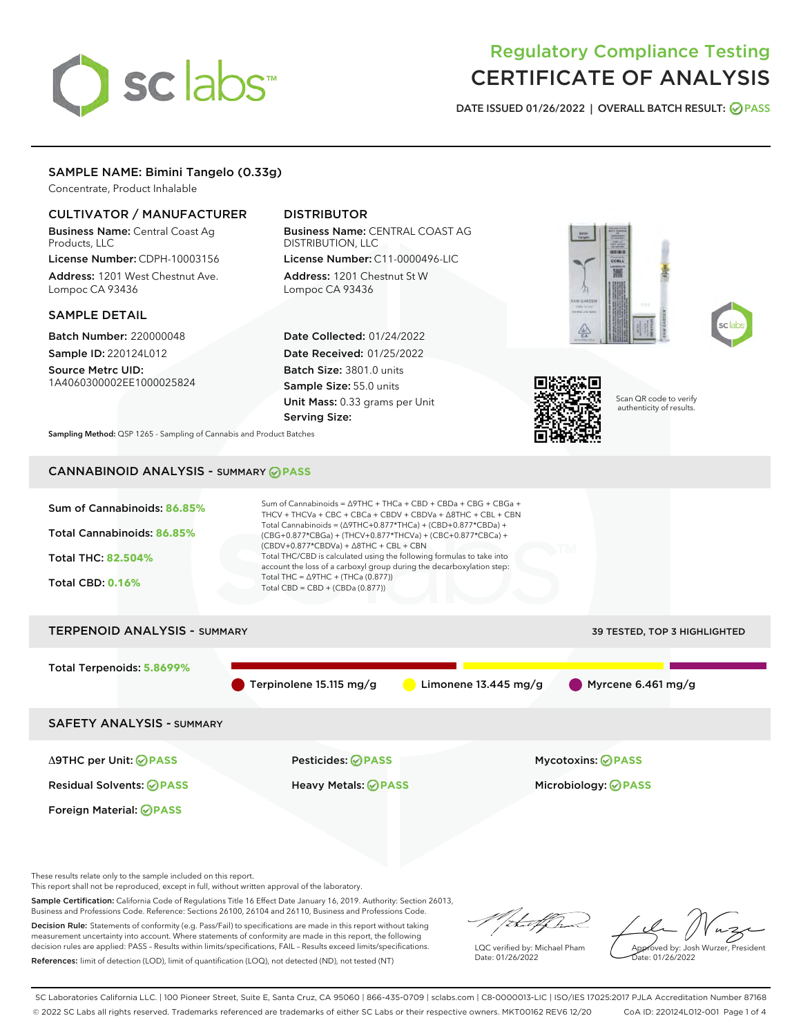# sclabs<sup>\*</sup>

# Regulatory Compliance Testing CERTIFICATE OF ANALYSIS

DATE ISSUED 01/26/2022 | OVERALL BATCH RESULT: @ PASS

# SAMPLE NAME: Bimini Tangelo (0.33g)

Concentrate, Product Inhalable

# CULTIVATOR / MANUFACTURER

Business Name: Central Coast Ag Products, LLC License Number: CDPH-10003156

Address: 1201 West Chestnut Ave. Lompoc CA 93436

### SAMPLE DETAIL

Batch Number: 220000048

Sample ID: 220124L012 Source Metrc UID:

1A4060300002EE1000025824

# DISTRIBUTOR

Business Name: CENTRAL COAST AG DISTRIBUTION, LLC License Number: C11-0000496-LIC

Address: 1201 Chestnut St W Lompoc CA 93436

Date Collected: 01/24/2022 Date Received: 01/25/2022 Batch Size: 3801.0 units Sample Size: 55.0 units Unit Mass: 0.33 grams per Unit Serving Size:







Scan QR code to verify authenticity of results.

Sampling Method: QSP 1265 - Sampling of Cannabis and Product Batches

# CANNABINOID ANALYSIS - SUMMARY **PASS**



These results relate only to the sample included on this report.

This report shall not be reproduced, except in full, without written approval of the laboratory.

Sample Certification: California Code of Regulations Title 16 Effect Date January 16, 2019. Authority: Section 26013, Business and Professions Code. Reference: Sections 26100, 26104 and 26110, Business and Professions Code.

Decision Rule: Statements of conformity (e.g. Pass/Fail) to specifications are made in this report without taking measurement uncertainty into account. Where statements of conformity are made in this report, the following decision rules are applied: PASS – Results within limits/specifications, FAIL – Results exceed limits/specifications. References: limit of detection (LOD), limit of quantification (LOQ), not detected (ND), not tested (NT)

that for

LQC verified by: Michael Pham Date: 01/26/2022

Approved by: Josh Wurzer, President ate: 01/26/2022

SC Laboratories California LLC. | 100 Pioneer Street, Suite E, Santa Cruz, CA 95060 | 866-435-0709 | sclabs.com | C8-0000013-LIC | ISO/IES 17025:2017 PJLA Accreditation Number 87168 © 2022 SC Labs all rights reserved. Trademarks referenced are trademarks of either SC Labs or their respective owners. MKT00162 REV6 12/20 CoA ID: 220124L012-001 Page 1 of 4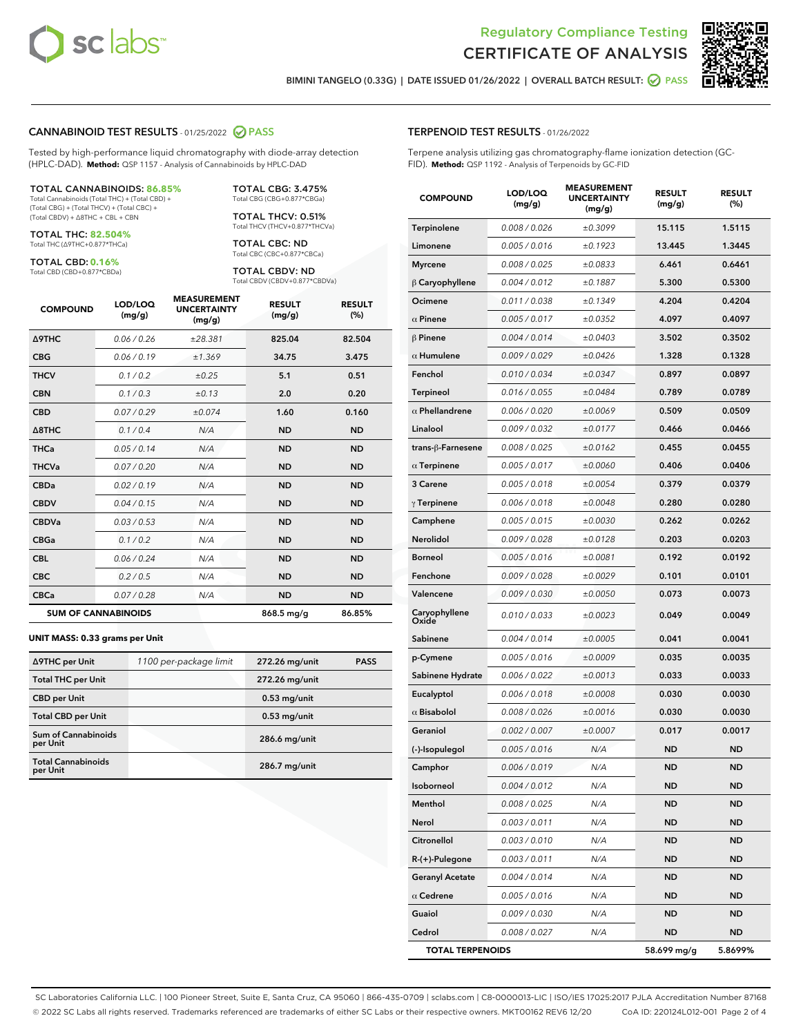



BIMINI TANGELO (0.33G) | DATE ISSUED 01/26/2022 | OVERALL BATCH RESULT: **O PASS** 

#### CANNABINOID TEST RESULTS - 01/25/2022 2 PASS

Tested by high-performance liquid chromatography with diode-array detection (HPLC-DAD). **Method:** QSP 1157 - Analysis of Cannabinoids by HPLC-DAD

#### TOTAL CANNABINOIDS: **86.85%**

Total Cannabinoids (Total THC) + (Total CBD) + (Total CBG) + (Total THCV) + (Total CBC) + (Total CBDV) + ∆8THC + CBL + CBN

TOTAL THC: **82.504%** Total THC (∆9THC+0.877\*THCa)

TOTAL CBD: **0.16%**

Total CBD (CBD+0.877\*CBDa)

TOTAL CBG: 3.475% Total CBG (CBG+0.877\*CBGa)

TOTAL THCV: 0.51% Total THCV (THCV+0.877\*THCVa)

TOTAL CBC: ND Total CBC (CBC+0.877\*CBCa)

TOTAL CBDV: ND Total CBDV (CBDV+0.877\*CBDVa)

| <b>COMPOUND</b>  | LOD/LOQ<br>(mg/g)          | <b>MEASUREMENT</b><br><b>UNCERTAINTY</b><br>(mg/g) | <b>RESULT</b><br>(mg/g) | <b>RESULT</b><br>(%) |
|------------------|----------------------------|----------------------------------------------------|-------------------------|----------------------|
| <b>A9THC</b>     | 0.06 / 0.26                | ±28.381                                            | 825.04                  | 82.504               |
| <b>CBG</b>       | 0.06/0.19                  | ±1.369                                             | 34.75                   | 3.475                |
| <b>THCV</b>      | 0.1 / 0.2                  | ±0.25                                              | 5.1                     | 0.51                 |
| <b>CBN</b>       | 0.1/0.3                    | ±0.13                                              | 2.0                     | 0.20                 |
| <b>CBD</b>       | 0.07/0.29                  | ±0.074                                             | 1.60                    | 0.160                |
| $\triangle$ 8THC | 0.1 / 0.4                  | N/A                                                | <b>ND</b>               | <b>ND</b>            |
| <b>THCa</b>      | 0.05/0.14                  | N/A                                                | <b>ND</b>               | <b>ND</b>            |
| <b>THCVa</b>     | 0.07/0.20                  | N/A                                                | <b>ND</b>               | <b>ND</b>            |
| <b>CBDa</b>      | 0.02/0.19                  | N/A                                                | <b>ND</b>               | <b>ND</b>            |
| <b>CBDV</b>      | 0.04 / 0.15                | N/A                                                | <b>ND</b>               | <b>ND</b>            |
| <b>CBDVa</b>     | 0.03/0.53                  | N/A                                                | <b>ND</b>               | <b>ND</b>            |
| <b>CBGa</b>      | 0.1 / 0.2                  | N/A                                                | <b>ND</b>               | <b>ND</b>            |
| <b>CBL</b>       | 0.06 / 0.24                | N/A                                                | <b>ND</b>               | <b>ND</b>            |
| <b>CBC</b>       | 0.2 / 0.5                  | N/A                                                | <b>ND</b>               | <b>ND</b>            |
| <b>CBCa</b>      | 0.07/0.28                  | N/A                                                | <b>ND</b>               | <b>ND</b>            |
|                  | <b>SUM OF CANNABINOIDS</b> |                                                    | 868.5 mg/g              | 86.85%               |

#### **UNIT MASS: 0.33 grams per Unit**

| ∆9THC per Unit                         | 1100 per-package limit | 272.26 mg/unit  | <b>PASS</b> |
|----------------------------------------|------------------------|-----------------|-------------|
| <b>Total THC per Unit</b>              |                        | 272.26 mg/unit  |             |
| <b>CBD per Unit</b>                    |                        | $0.53$ mg/unit  |             |
| <b>Total CBD per Unit</b>              |                        | $0.53$ mg/unit  |             |
| <b>Sum of Cannabinoids</b><br>per Unit |                        | 286.6 mg/unit   |             |
| <b>Total Cannabinoids</b><br>per Unit  |                        | $286.7$ mg/unit |             |

#### TERPENOID TEST RESULTS - 01/26/2022

Terpene analysis utilizing gas chromatography-flame ionization detection (GC-FID). **Method:** QSP 1192 - Analysis of Terpenoids by GC-FID

| <b>COMPOUND</b>           | LOD/LOQ<br>(mg/g) | <b>MEASUREMENT</b><br><b>UNCERTAINTY</b><br>(mg/g) | <b>RESULT</b><br>(mg/g) | <b>RESULT</b><br>(%) |
|---------------------------|-------------------|----------------------------------------------------|-------------------------|----------------------|
| Terpinolene               | 0.008 / 0.026     | ±0.3099                                            | 15.115                  | 1.5115               |
| Limonene                  | 0.005 / 0.016     | ±0.1923                                            | 13.445                  | 1.3445               |
| <b>Myrcene</b>            | 0.008 / 0.025     | ±0.0833                                            | 6.461                   | 0.6461               |
| $\beta$ Caryophyllene     | 0.004 / 0.012     | ±0.1887                                            | 5.300                   | 0.5300               |
| Ocimene                   | 0.011 / 0.038     | ±0.1349                                            | 4.204                   | 0.4204               |
| $\alpha$ Pinene           | 0.005 / 0.017     | ±0.0352                                            | 4.097                   | 0.4097               |
| $\beta$ Pinene            | 0.004 / 0.014     | ±0.0403                                            | 3.502                   | 0.3502               |
| $\alpha$ Humulene         | 0.009 / 0.029     | ±0.0426                                            | 1.328                   | 0.1328               |
| Fenchol                   | 0.010 / 0.034     | ±0.0347                                            | 0.897                   | 0.0897               |
| <b>Terpineol</b>          | 0.016 / 0.055     | ±0.0484                                            | 0.789                   | 0.0789               |
| $\alpha$ Phellandrene     | 0.006 / 0.020     | ±0.0069                                            | 0.509                   | 0.0509               |
| Linalool                  | 0.009 / 0.032     | ±0.0177                                            | 0.466                   | 0.0466               |
| trans- $\beta$ -Farnesene | 0.008 / 0.025     | ±0.0162                                            | 0.455                   | 0.0455               |
| $\alpha$ Terpinene        | 0.005 / 0.017     | ±0.0060                                            | 0.406                   | 0.0406               |
| 3 Carene                  | 0.005 / 0.018     | ±0.0054                                            | 0.379                   | 0.0379               |
| $\gamma$ Terpinene        | 0.006 / 0.018     | ±0.0048                                            | 0.280                   | 0.0280               |
| Camphene                  | 0.005 / 0.015     | ±0.0030                                            | 0.262                   | 0.0262               |
| Nerolidol                 | 0.009 / 0.028     | ±0.0128                                            | 0.203                   | 0.0203               |
| <b>Borneol</b>            | 0.005 / 0.016     | ±0.0081                                            | 0.192                   | 0.0192               |
| Fenchone                  | 0.009 / 0.028     | ±0.0029                                            | 0.101                   | 0.0101               |
| Valencene                 | 0.009 / 0.030     | ±0.0050                                            | 0.073                   | 0.0073               |
| Caryophyllene<br>Oxide    | 0.010 / 0.033     | ±0.0023                                            | 0.049                   | 0.0049               |
| Sabinene                  | 0.004 / 0.014     | ±0.0005                                            | 0.041                   | 0.0041               |
| p-Cymene                  | 0.005 / 0.016     | ±0.0009                                            | 0.035                   | 0.0035               |
| Sabinene Hydrate          | 0.006 / 0.022     | ±0.0013                                            | 0.033                   | 0.0033               |
| Eucalyptol                | 0.006 / 0.018     | ±0.0008                                            | 0.030                   | 0.0030               |
| $\alpha$ Bisabolol        | 0.008 / 0.026     | ±0.0016                                            | 0.030                   | 0.0030               |
| Geraniol                  | 0.002 / 0.007     | ±0.0007                                            | 0.017                   | 0.0017               |
| (-)-Isopulegol            | 0.005 / 0.016     | N/A                                                | ND                      | <b>ND</b>            |
| Camphor                   | 0.006 / 0.019     | N/A                                                | <b>ND</b>               | ND                   |
| Isoborneol                | 0.004 / 0.012     | N/A                                                | ND                      | ND                   |
| Menthol                   | 0.008 / 0.025     | N/A                                                | <b>ND</b>               | <b>ND</b>            |
| Nerol                     | 0.003 / 0.011     | N/A                                                | <b>ND</b>               | <b>ND</b>            |
| Citronellol               | 0.003 / 0.010     | N/A                                                | ND                      | <b>ND</b>            |
| R-(+)-Pulegone            | 0.003 / 0.011     | N/A                                                | ND                      | ND                   |
| <b>Geranyl Acetate</b>    | 0.004 / 0.014     | N/A                                                | ND                      | ND                   |
| $\alpha$ Cedrene          | 0.005 / 0.016     | N/A                                                | ND                      | <b>ND</b>            |
| Guaiol                    | 0.009 / 0.030     | N/A                                                | ND                      | ND                   |
| Cedrol                    | 0.008 / 0.027     | N/A                                                | ND                      | ND                   |
| <b>TOTAL TERPENOIDS</b>   |                   |                                                    | 58.699 mg/g             | 5.8699%              |

SC Laboratories California LLC. | 100 Pioneer Street, Suite E, Santa Cruz, CA 95060 | 866-435-0709 | sclabs.com | C8-0000013-LIC | ISO/IES 17025:2017 PJLA Accreditation Number 87168 © 2022 SC Labs all rights reserved. Trademarks referenced are trademarks of either SC Labs or their respective owners. MKT00162 REV6 12/20 CoA ID: 220124L012-001 Page 2 of 4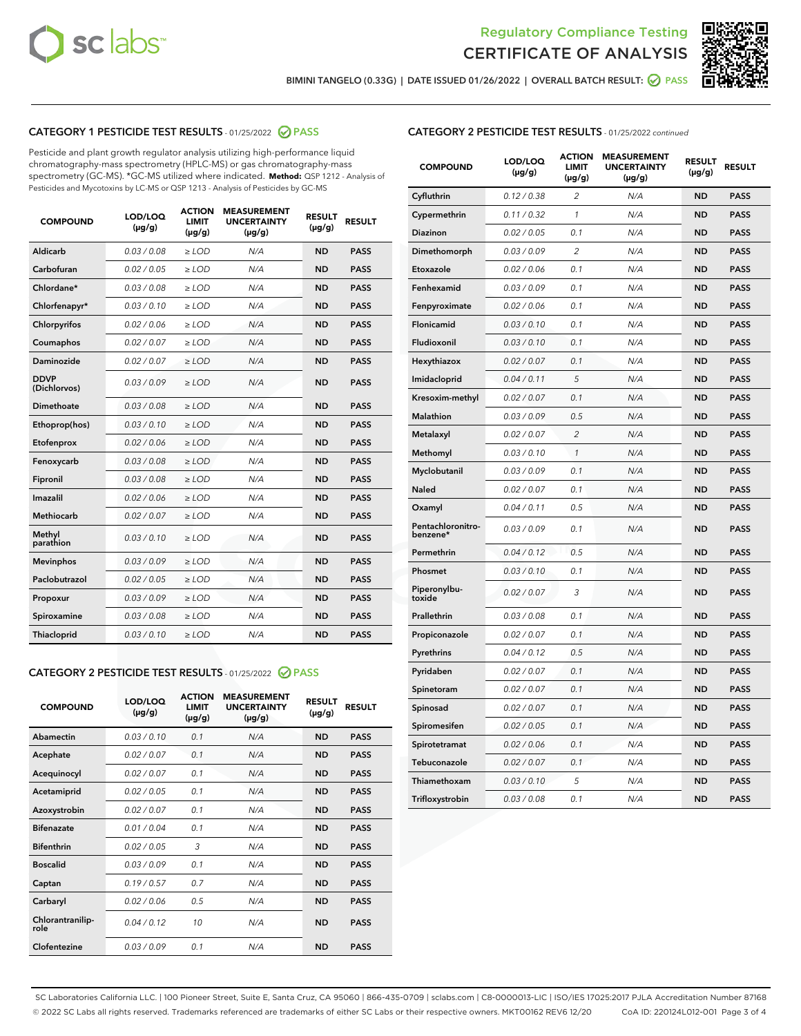



BIMINI TANGELO (0.33G) | DATE ISSUED 01/26/2022 | OVERALL BATCH RESULT: @ PASS

# CATEGORY 1 PESTICIDE TEST RESULTS - 01/25/2022 2 PASS

Pesticide and plant growth regulator analysis utilizing high-performance liquid chromatography-mass spectrometry (HPLC-MS) or gas chromatography-mass spectrometry (GC-MS). \*GC-MS utilized where indicated. **Method:** QSP 1212 - Analysis of Pesticides and Mycotoxins by LC-MS or QSP 1213 - Analysis of Pesticides by GC-MS

| <b>COMPOUND</b>             | LOD/LOQ<br>$(\mu g/g)$ | <b>ACTION</b><br>LIMIT<br>$(\mu g/g)$ | <b>MEASUREMENT</b><br><b>UNCERTAINTY</b><br>$(\mu g/g)$ | <b>RESULT</b><br>$(\mu g/g)$ | <b>RESULT</b> |
|-----------------------------|------------------------|---------------------------------------|---------------------------------------------------------|------------------------------|---------------|
| Aldicarb                    | 0.03/0.08              | $>$ LOD                               | N/A                                                     | <b>ND</b>                    | <b>PASS</b>   |
| Carbofuran                  | 0.02 / 0.05            | $\ge$ LOD                             | N/A                                                     | <b>ND</b>                    | <b>PASS</b>   |
| Chlordane*                  | 0.03 / 0.08            | $\ge$ LOD                             | N/A                                                     | <b>ND</b>                    | <b>PASS</b>   |
| Chlorfenapyr*               | 0.03/0.10              | $\ge$ LOD                             | N/A                                                     | <b>ND</b>                    | <b>PASS</b>   |
| Chlorpyrifos                | 0.02 / 0.06            | $\ge$ LOD                             | N/A                                                     | <b>ND</b>                    | <b>PASS</b>   |
| Coumaphos                   | 0.02 / 0.07            | $\ge$ LOD                             | N/A                                                     | <b>ND</b>                    | <b>PASS</b>   |
| Daminozide                  | 0.02/0.07              | $>$ LOD                               | N/A                                                     | <b>ND</b>                    | <b>PASS</b>   |
| <b>DDVP</b><br>(Dichlorvos) | 0.03/0.09              | $\ge$ LOD                             | N/A                                                     | <b>ND</b>                    | <b>PASS</b>   |
| <b>Dimethoate</b>           | 0.03 / 0.08            | $\ge$ LOD                             | N/A                                                     | <b>ND</b>                    | <b>PASS</b>   |
| Ethoprop(hos)               | 0.03/0.10              | $\ge$ LOD                             | N/A                                                     | <b>ND</b>                    | <b>PASS</b>   |
| Etofenprox                  | 0.02 / 0.06            | $\ge$ LOD                             | N/A                                                     | <b>ND</b>                    | <b>PASS</b>   |
| Fenoxycarb                  | 0.03 / 0.08            | $\ge$ LOD                             | N/A                                                     | <b>ND</b>                    | <b>PASS</b>   |
| Fipronil                    | 0.03 / 0.08            | $\ge$ LOD                             | N/A                                                     | <b>ND</b>                    | <b>PASS</b>   |
| Imazalil                    | 0.02 / 0.06            | $>$ LOD                               | N/A                                                     | <b>ND</b>                    | <b>PASS</b>   |
| Methiocarb                  | 0.02 / 0.07            | $>$ LOD                               | N/A                                                     | <b>ND</b>                    | <b>PASS</b>   |
| Methyl<br>parathion         | 0.03/0.10              | $>$ LOD                               | N/A                                                     | <b>ND</b>                    | <b>PASS</b>   |
| <b>Mevinphos</b>            | 0.03/0.09              | $>$ LOD                               | N/A                                                     | <b>ND</b>                    | <b>PASS</b>   |
| Paclobutrazol               | 0.02 / 0.05            | $>$ LOD                               | N/A                                                     | <b>ND</b>                    | <b>PASS</b>   |
| Propoxur                    | 0.03/0.09              | $\ge$ LOD                             | N/A                                                     | <b>ND</b>                    | <b>PASS</b>   |
| Spiroxamine                 | 0.03 / 0.08            | $\ge$ LOD                             | N/A                                                     | <b>ND</b>                    | <b>PASS</b>   |
| Thiacloprid                 | 0.03/0.10              | $\ge$ LOD                             | N/A                                                     | <b>ND</b>                    | <b>PASS</b>   |

#### CATEGORY 2 PESTICIDE TEST RESULTS - 01/25/2022 2 PASS

| <b>COMPOUND</b>          | LOD/LOO<br>$(\mu g/g)$ | <b>ACTION</b><br>LIMIT<br>$(\mu g/g)$ | <b>MEASUREMENT</b><br><b>UNCERTAINTY</b><br>$(\mu g/g)$ | <b>RESULT</b><br>$(\mu g/g)$ | <b>RESULT</b> |  |
|--------------------------|------------------------|---------------------------------------|---------------------------------------------------------|------------------------------|---------------|--|
| Abamectin                | 0.03/0.10              | 0.1                                   | N/A                                                     | <b>ND</b>                    | <b>PASS</b>   |  |
| Acephate                 | 0.02/0.07              | 0.1                                   | N/A                                                     | <b>ND</b>                    | <b>PASS</b>   |  |
| Acequinocyl              | 0.02/0.07              | 0.1                                   | N/A                                                     | <b>ND</b>                    | <b>PASS</b>   |  |
| Acetamiprid              | 0.02 / 0.05            | 0.1                                   | N/A                                                     | <b>ND</b>                    | <b>PASS</b>   |  |
| Azoxystrobin             | 0.02/0.07              | 0.1                                   | N/A                                                     | <b>ND</b>                    | <b>PASS</b>   |  |
| <b>Bifenazate</b>        | 0.01 / 0.04            | 0.1                                   | N/A                                                     | <b>ND</b>                    | <b>PASS</b>   |  |
| <b>Bifenthrin</b>        | 0.02 / 0.05            | 3                                     | N/A                                                     | <b>ND</b>                    | <b>PASS</b>   |  |
| <b>Boscalid</b>          | 0.03/0.09              | 0.1                                   | N/A                                                     | <b>ND</b>                    | <b>PASS</b>   |  |
| Captan                   | 0.19/0.57              | 0.7                                   | N/A                                                     | <b>ND</b>                    | <b>PASS</b>   |  |
| Carbaryl                 | 0.02/0.06              | 0.5                                   | N/A                                                     | <b>ND</b>                    | <b>PASS</b>   |  |
| Chlorantranilip-<br>role | 0.04/0.12              | 10                                    | N/A                                                     | <b>ND</b>                    | <b>PASS</b>   |  |
| Clofentezine             | 0.03/0.09              | 0.1                                   | N/A                                                     | <b>ND</b>                    | <b>PASS</b>   |  |

| <b>CATEGORY 2 PESTICIDE TEST RESULTS</b> - 01/25/2022 continued |
|-----------------------------------------------------------------|
|-----------------------------------------------------------------|

| <b>COMPOUND</b>               | LOD/LOQ<br>(µg/g) | <b>ACTION</b><br><b>LIMIT</b><br>$(\mu g/g)$ | <b>MEASUREMENT</b><br><b>UNCERTAINTY</b><br>$(\mu g/g)$ | <b>RESULT</b><br>(µg/g) | <b>RESULT</b> |
|-------------------------------|-------------------|----------------------------------------------|---------------------------------------------------------|-------------------------|---------------|
| Cyfluthrin                    | 0.12 / 0.38       | $\overline{c}$                               | N/A                                                     | <b>ND</b>               | <b>PASS</b>   |
| Cypermethrin                  | 0.11 / 0.32       | 1                                            | N/A                                                     | ND                      | <b>PASS</b>   |
| <b>Diazinon</b>               | 0.02 / 0.05       | 0.1                                          | N/A                                                     | ND                      | <b>PASS</b>   |
| Dimethomorph                  | 0.03 / 0.09       | 2                                            | N/A                                                     | ND                      | <b>PASS</b>   |
| Etoxazole                     | 0.02 / 0.06       | 0.1                                          | N/A                                                     | ND                      | <b>PASS</b>   |
| Fenhexamid                    | 0.03 / 0.09       | 0.1                                          | N/A                                                     | ND                      | <b>PASS</b>   |
| Fenpyroximate                 | 0.02 / 0.06       | 0.1                                          | N/A                                                     | <b>ND</b>               | <b>PASS</b>   |
| Flonicamid                    | 0.03 / 0.10       | 0.1                                          | N/A                                                     | <b>ND</b>               | <b>PASS</b>   |
| Fludioxonil                   | 0.03 / 0.10       | 0.1                                          | N/A                                                     | <b>ND</b>               | <b>PASS</b>   |
| Hexythiazox                   | 0.02 / 0.07       | 0.1                                          | N/A                                                     | <b>ND</b>               | <b>PASS</b>   |
| Imidacloprid                  | 0.04 / 0.11       | 5                                            | N/A                                                     | <b>ND</b>               | <b>PASS</b>   |
| Kresoxim-methyl               | 0.02 / 0.07       | 0.1                                          | N/A                                                     | ND                      | <b>PASS</b>   |
| <b>Malathion</b>              | 0.03 / 0.09       | 0.5                                          | N/A                                                     | ND                      | <b>PASS</b>   |
| Metalaxyl                     | 0.02 / 0.07       | $\overline{2}$                               | N/A                                                     | <b>ND</b>               | <b>PASS</b>   |
| Methomyl                      | 0.03 / 0.10       | $\mathbf{1}$                                 | N/A                                                     | <b>ND</b>               | <b>PASS</b>   |
| Myclobutanil                  | 0.03 / 0.09       | 0.1                                          | N/A                                                     | ND                      | <b>PASS</b>   |
| <b>Naled</b>                  | 0.02 / 0.07       | 0.1                                          | N/A                                                     | <b>ND</b>               | <b>PASS</b>   |
| Oxamyl                        | 0.04 / 0.11       | 0.5                                          | N/A                                                     | <b>ND</b>               | <b>PASS</b>   |
| Pentachloronitro-<br>benzene* | 0.03 / 0.09       | 0.1                                          | N/A                                                     | <b>ND</b>               | <b>PASS</b>   |
| Permethrin                    | 0.04 / 0.12       | 0.5                                          | N/A                                                     | ND                      | <b>PASS</b>   |
| Phosmet                       | 0.03 / 0.10       | 0.1                                          | N/A                                                     | <b>ND</b>               | <b>PASS</b>   |
| Piperonylbu-<br>toxide        | 0.02 / 0.07       | 3                                            | N/A                                                     | ND                      | <b>PASS</b>   |
| Prallethrin                   | 0.03 / 0.08       | 0.1                                          | N/A                                                     | ND                      | <b>PASS</b>   |
| Propiconazole                 | 0.02 / 0.07       | 0.1                                          | N/A                                                     | ND                      | <b>PASS</b>   |
| Pyrethrins                    | 0.04 / 0.12       | 0.5                                          | N/A                                                     | ND                      | <b>PASS</b>   |
| Pyridaben                     | 0.02 / 0.07       | 0.1                                          | N/A                                                     | <b>ND</b>               | <b>PASS</b>   |
| Spinetoram                    | 0.02 / 0.07       | 0.1                                          | N/A                                                     | ND                      | <b>PASS</b>   |
| Spinosad                      | 0.02 / 0.07       | 0.1                                          | N/A                                                     | ND                      | <b>PASS</b>   |
| Spiromesifen                  | 0.02 / 0.05       | 0.1                                          | N/A                                                     | ND                      | <b>PASS</b>   |
| Spirotetramat                 | 0.02 / 0.06       | 0.1                                          | N/A                                                     | ND                      | <b>PASS</b>   |
| Tebuconazole                  | 0.02 / 0.07       | 0.1                                          | N/A                                                     | ND                      | <b>PASS</b>   |
| Thiamethoxam                  | 0.03 / 0.10       | 5                                            | N/A                                                     | ND                      | <b>PASS</b>   |
| Trifloxystrobin               | 0.03 / 0.08       | 0.1                                          | N/A                                                     | <b>ND</b>               | <b>PASS</b>   |

SC Laboratories California LLC. | 100 Pioneer Street, Suite E, Santa Cruz, CA 95060 | 866-435-0709 | sclabs.com | C8-0000013-LIC | ISO/IES 17025:2017 PJLA Accreditation Number 87168 © 2022 SC Labs all rights reserved. Trademarks referenced are trademarks of either SC Labs or their respective owners. MKT00162 REV6 12/20 CoA ID: 220124L012-001 Page 3 of 4